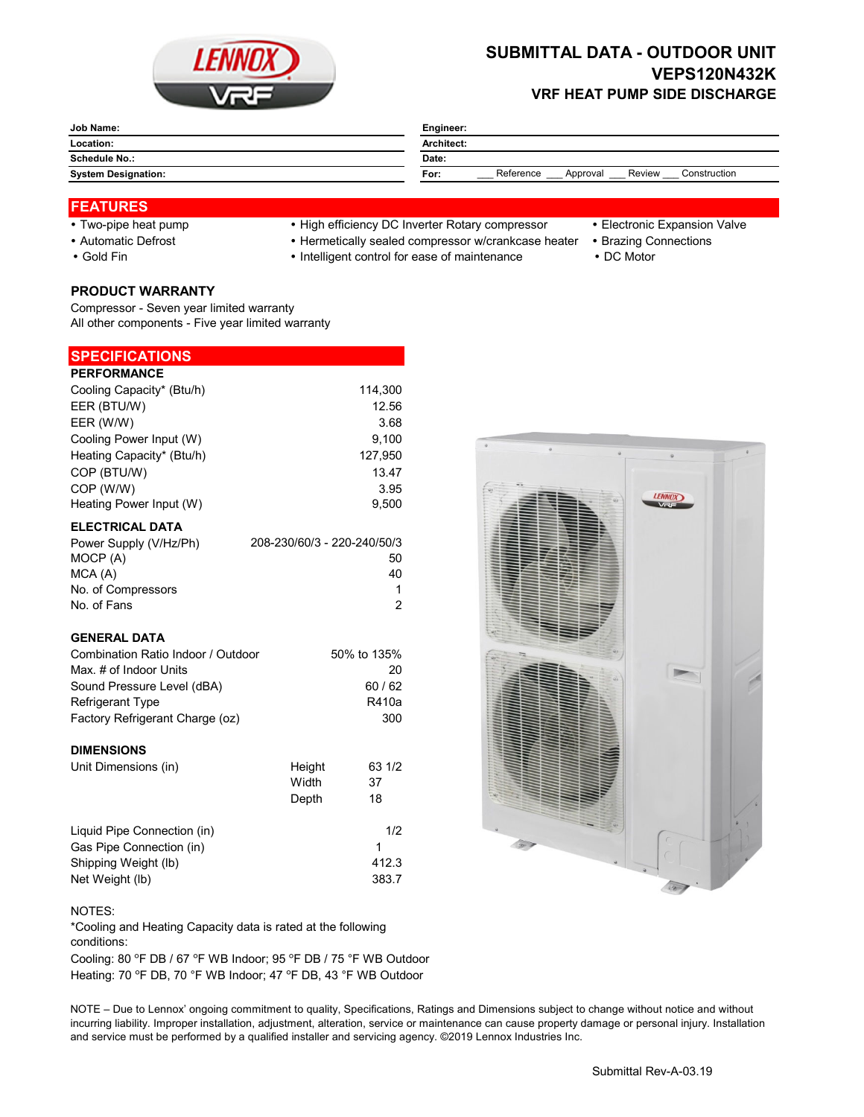

# **SUBMITTAL DATA - OUTDOOR UNIT VEPS120N432K VRF HEAT PUMP SIDE DISCHARGE**

| Job Name:                  | Engineer:                                               |  |  |  |  |
|----------------------------|---------------------------------------------------------|--|--|--|--|
| Location:                  | Architect:                                              |  |  |  |  |
| <b>Schedule No.:</b>       | Date:                                                   |  |  |  |  |
| <b>System Designation:</b> | Construction<br>Reference<br>Review<br>Approval<br>For: |  |  |  |  |

### **FEATURES**

- 
- 
- 
- Two-pipe heat pump High efficiency DC Inverter Rotary compressor Electronic Expansion Valve
	-
- Automatic Defrost **Automatic Defrost Hermetically sealed compressor w/crankcase heater** Brazing Connections
- Gold Fin **Intelligent control for ease of maintenance** DC Motor

**PRODUCT WARRANTY** Compressor - Seven year limited warranty All other components - Five year limited warranty

## **SPECIFICATIONS**

| <b>PERFORMANCE</b>        |                             |
|---------------------------|-----------------------------|
| Cooling Capacity* (Btu/h) | 114,300                     |
| EER (BTU/W)               | 12.56                       |
| EER (W/W)                 | 3.68                        |
| Cooling Power Input (W)   | 9.100                       |
| Heating Capacity* (Btu/h) | 127,950                     |
| COP (BTU/W)               | 13.47                       |
| COP (W/W)                 | 3.95                        |
| Heating Power Input (W)   | 9,500                       |
| <b>ELECTRICAL DATA</b>    |                             |
| Power Supply (V/Hz/Ph)    | 208-230/60/3 - 220-240/50/3 |

| Power Supply (V/Hz/Ph) | 208-230/60/3 - 220-240/50/3 |
|------------------------|-----------------------------|
| MOCP (A)               | 50                          |
| MCA(A)                 | 40                          |
| No. of Compressors     |                             |
| No. of Fans            | 2                           |

### **GENERAL DATA**

| Combination Ratio Indoor / Outdoor | 50% to 135% |
|------------------------------------|-------------|
| Max. # of Indoor Units             | 20          |
| Sound Pressure Level (dBA)         | 60/62       |
| <b>Refrigerant Type</b>            | R410a       |
| Factory Refrigerant Charge (oz)    | 300         |

#### **DIMENSIONS**

| Unit Dimensions (in)        | Height<br>Width<br>Depth | 63 1/2<br>37<br>18 |
|-----------------------------|--------------------------|--------------------|
| Liquid Pipe Connection (in) |                          | 1/2                |
| Gas Pipe Connection (in)    |                          |                    |
| Shipping Weight (lb)        |                          | 412.3              |
| Net Weight (lb)             |                          | 383.7              |



NOTES: \*Cooling and Heating Capacity data is rated at the following conditions:

Cooling: 80 °F DB / 67 °F WB Indoor; 95 °F DB / 75 °F WB Outdoor Heating: 70 °F DB, 70 °F WB Indoor; 47 °F DB, 43 °F WB Outdoor

NOTE – Due to Lennox' ongoing commitment to quality, Specifications, Ratings and Dimensions subject to change without notice and without incurring liability. Improper installation, adjustment, alteration, service or maintenance can cause property damage or personal injury. Installation and service must be performed by a qualified installer and servicing agency. ©2019 Lennox Industries Inc.